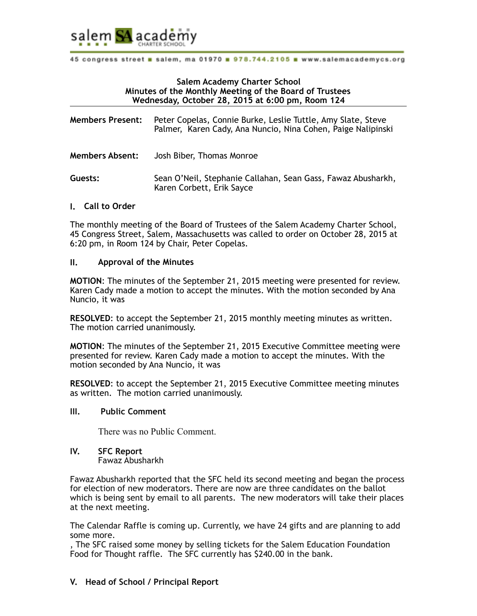

# **Salem Academy Charter School Minutes of the Monthly Meeting of the Board of Trustees Wednesday, October 28, 2015 at 6:00 pm, Room 124**

| <b>Members Present:</b> | Peter Copelas, Connie Burke, Leslie Tuttle, Amy Slate, Steve<br>Palmer, Karen Cady, Ana Nuncio, Nina Cohen, Paige Nalipinski |
|-------------------------|------------------------------------------------------------------------------------------------------------------------------|
| <b>Members Absent:</b>  | Josh Biber, Thomas Monroe                                                                                                    |
| Guests:                 | Sean O'Neil, Stephanie Callahan, Sean Gass, Fawaz Abusharkh,<br>Karen Corbett, Erik Sayce                                    |

# **I. Call to Order**

The monthly meeting of the Board of Trustees of the Salem Academy Charter School, 45 Congress Street, Salem, Massachusetts was called to order on October 28, 2015 at 6:20 pm, in Room 124 by Chair, Peter Copelas.

# **II. Approval of the Minutes**

**MOTION**: The minutes of the September 21, 2015 meeting were presented for review. Karen Cady made a motion to accept the minutes. With the motion seconded by Ana Nuncio, it was

**RESOLVED**: to accept the September 21, 2015 monthly meeting minutes as written. The motion carried unanimously.

**MOTION**: The minutes of the September 21, 2015 Executive Committee meeting were presented for review. Karen Cady made a motion to accept the minutes. With the motion seconded by Ana Nuncio, it was

**RESOLVED**: to accept the September 21, 2015 Executive Committee meeting minutes as written. The motion carried unanimously.

#### **III. Public Comment**

There was no Public Comment.

**IV. SFC Report** Fawaz Abusharkh

Fawaz Abusharkh reported that the SFC held its second meeting and began the process for election of new moderators. There are now are three candidates on the ballot which is being sent by email to all parents. The new moderators will take their places at the next meeting.

The Calendar Raffle is coming up. Currently, we have 24 gifts and are planning to add some more.

, The SFC raised some money by selling tickets for the Salem Education Foundation Food for Thought raffle. The SFC currently has \$240.00 in the bank.

# **V. Head of School / Principal Report**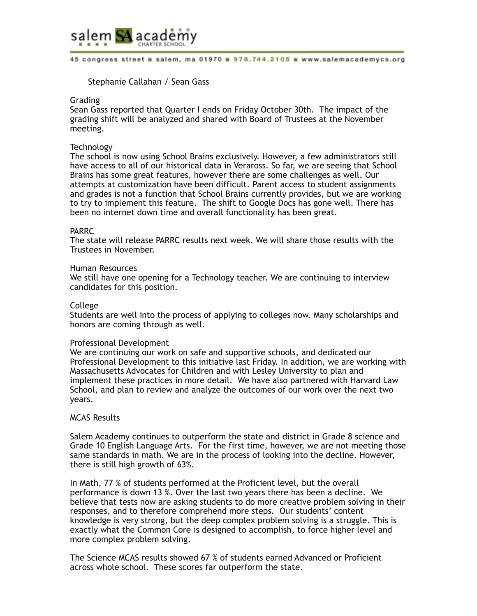

Stephanie Callahan / Sean Gass

### Grading

Sean Gass reported that Quarter I ends on Friday October 30th. The impact of the grading shift will be analyzed and shared with Board of Trustees at the November meeting.

### **Technology**

The school is now using School Brains exclusively. However, a few administrators still have access to all of our historical data in Veraross. So far, we are seeing that School Brains has some great features, however there are some challenges as well. Our attempts at customization have been difficult. Parent access to student assignments and grades is not a function that School Brains currently provides, but we are working to try to implement this feature. The shift to Google Docs has gone well. There has been no internet down time and overall functionality has been great.

### PARRC

The state will release PARRC results next week. We will share those results with the Trustees in November.

### Human Resources

We still have one opening for a Technology teacher. We are continuing to interview candidates for this position.

#### College

Students are well into the process of applying to colleges now. Many scholarships and honors are coming through as well.

#### Professional Development

We are continuing our work on safe and supportive schools, and dedicated our Professional Development to this initiative last Friday. In addition, we are working with Massachusetts Advocates for Children and with Lesley University to plan and implement these practices in more detail. We have also partnered with Harvard Law School, and plan to review and analyze the outcomes of our work over the next two years.

#### MCAS Results

Salem Academy continues to outperform the state and district in Grade 8 science and Grade 10 English Language Arts. For the first time, however, we are not meeting those same standards in math. We are in the process of looking into the decline. However, there is still high growth of 63%.

In Math, 77 % of students performed at the Proficient level, but the overall performance is down 13 %. Over the last two years there has been a decline. We believe that tests now are asking students to do more creative problem solving in their responses, and to therefore comprehend more steps. Our students' content knowledge is very strong, but the deep complex problem solving is a struggle. This is exactly what the Common Core is designed to accomplish, to force higher level and more complex problem solving.

The Science MCAS results showed 67 % of students earned Advanced or Proficient across whole school. These scores far outperform the state.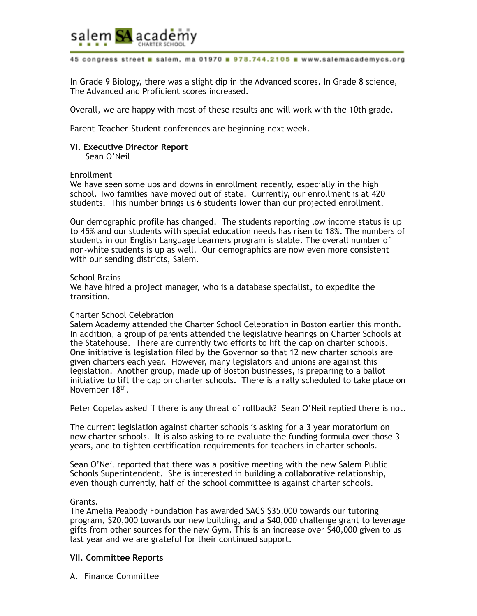

In Grade 9 Biology, there was a slight dip in the Advanced scores. In Grade 8 science, The Advanced and Proficient scores increased.

Overall, we are happy with most of these results and will work with the 10th grade.

Parent-Teacher-Student conferences are beginning next week.

# **VI. Executive Director Report**

Sean O'Neil

**Enrollment** 

We have seen some ups and downs in enrollment recently, especially in the high school. Two families have moved out of state. Currently, our enrollment is at 420 students. This number brings us 6 students lower than our projected enrollment.

Our demographic profile has changed. The students reporting low income status is up to 45% and our students with special education needs has risen to 18%. The numbers of students in our English Language Learners program is stable. The overall number of non-white students is up as well. Our demographics are now even more consistent with our sending districts, Salem.

### School Brains

We have hired a project manager, who is a database specialist, to expedite the transition.

# Charter School Celebration

Salem Academy attended the Charter School Celebration in Boston earlier this month. In addition, a group of parents attended the legislative hearings on Charter Schools at the Statehouse. There are currently two efforts to lift the cap on charter schools. One initiative is legislation filed by the Governor so that 12 new charter schools are given charters each year. However, many legislators and unions are against this legislation. Another group, made up of Boston businesses, is preparing to a ballot initiative to lift the cap on charter schools. There is a rally scheduled to take place on November 18th.

Peter Copelas asked if there is any threat of rollback? Sean O'Neil replied there is not.

The current legislation against charter schools is asking for a 3 year moratorium on new charter schools. It is also asking to re-evaluate the funding formula over those 3 years, and to tighten certification requirements for teachers in charter schools.

Sean O'Neil reported that there was a positive meeting with the new Salem Public Schools Superintendent. She is interested in building a collaborative relationship, even though currently, half of the school committee is against charter schools.

#### Grants.

The Amelia Peabody Foundation has awarded SACS \$35,000 towards our tutoring program, \$20,000 towards our new building, and a \$40,000 challenge grant to leverage gifts from other sources for the new Gym. This is an increase over \$40,000 given to us last year and we are grateful for their continued support.

# **VII. Committee Reports**

A. Finance Committee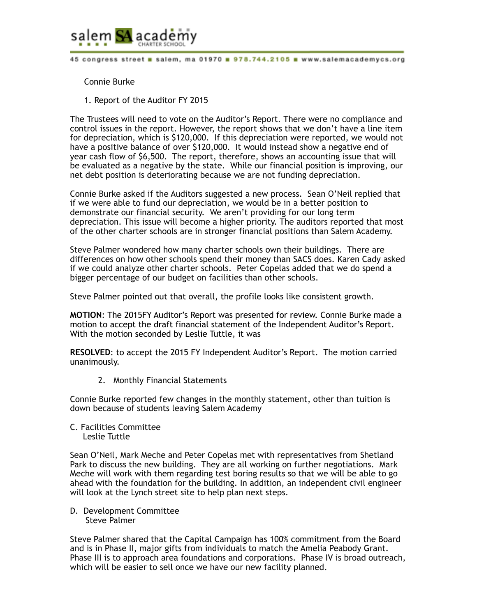

Connie Burke

1. Report of the Auditor FY 2015

The Trustees will need to vote on the Auditor's Report. There were no compliance and control issues in the report. However, the report shows that we don't have a line item for depreciation, which is \$120,000. If this depreciation were reported, we would not have a positive balance of over \$120,000. It would instead show a negative end of year cash flow of \$6,500. The report, therefore, shows an accounting issue that will be evaluated as a negative by the state. While our financial position is improving, our net debt position is deteriorating because we are not funding depreciation.

Connie Burke asked if the Auditors suggested a new process. Sean O'Neil replied that if we were able to fund our depreciation, we would be in a better position to demonstrate our financial security. We aren't providing for our long term depreciation. This issue will become a higher priority. The auditors reported that most of the other charter schools are in stronger financial positions than Salem Academy.

Steve Palmer wondered how many charter schools own their buildings. There are differences on how other schools spend their money than SACS does. Karen Cady asked if we could analyze other charter schools. Peter Copelas added that we do spend a bigger percentage of our budget on facilities than other schools.

Steve Palmer pointed out that overall, the profile looks like consistent growth.

**MOTION**: The 2015FY Auditor's Report was presented for review. Connie Burke made a motion to accept the draft financial statement of the Independent Auditor's Report. With the motion seconded by Leslie Tuttle, it was

**RESOLVED**: to accept the 2015 FY Independent Auditor's Report. The motion carried unanimously.

2. Monthly Financial Statements

Connie Burke reported few changes in the monthly statement, other than tuition is down because of students leaving Salem Academy

C. Facilities Committee Leslie Tuttle

Sean O'Neil, Mark Meche and Peter Copelas met with representatives from Shetland Park to discuss the new building. They are all working on further negotiations. Mark Meche will work with them regarding test boring results so that we will be able to go ahead with the foundation for the building. In addition, an independent civil engineer will look at the Lynch street site to help plan next steps.

D. Development Committee Steve Palmer

Steve Palmer shared that the Capital Campaign has 100% commitment from the Board and is in Phase II, major gifts from individuals to match the Amelia Peabody Grant. Phase III is to approach area foundations and corporations. Phase IV is broad outreach, which will be easier to sell once we have our new facility planned.